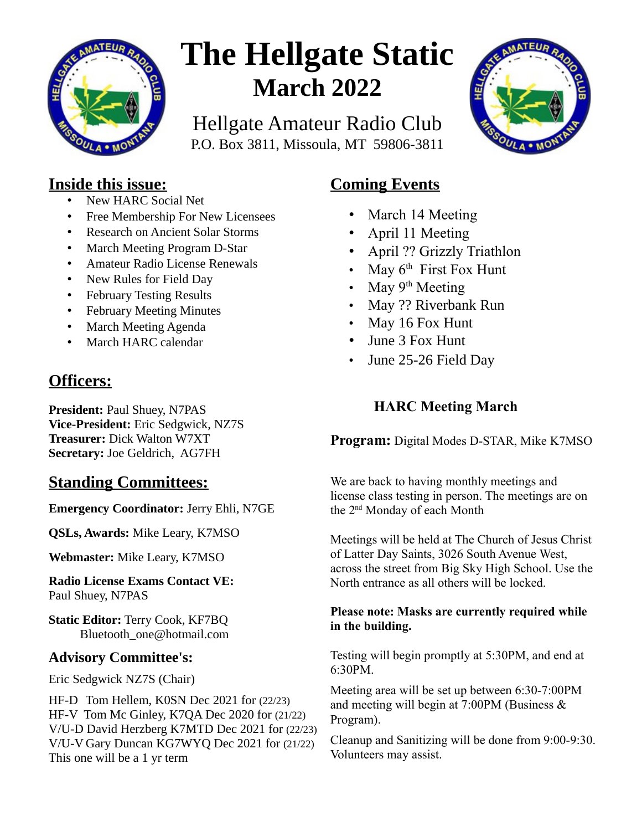

# **The Hellgate Static March 2022**

Hellgate Amateur Radio Club P.O. Box 3811, Missoula, MT 59806-3811



#### **Inside this issue:**

- New HARC Social Net
- Free Membership For New Licensees
- Research on Ancient Solar Storms
- March Meeting Program D-Star
- Amateur Radio License Renewals
- New Rules for Field Day
- February Testing Results
- February Meeting Minutes
- March Meeting Agenda
- March HARC calendar

### **Officers:**

**President: Paul Shuey, N7PAS Vice-President:** Eric Sedgwick, NZ7S **Treasurer:** Dick Walton W7XT **Secretary:** Joe Geldrich, AG7FH

#### **Standing Committees:**

**Emergency Coordinator:** Jerry Ehli, N7GE

**QSLs, Awards:** Mike Leary, K7MSO

**Webmaster:** Mike Leary, K7MSO

**Radio License Exams Contact VE:** Paul Shuey, N7PAS

**Static Editor:** Terry Cook, KF7BQ Bluetooth\_one@hotmail.com

#### **Advisory Committee's:**

Eric Sedgwick NZ7S (Chair)

HF-D Tom Hellem, K0SN Dec 2021 for (22/23) HF-V Tom Mc Ginley, K7QA Dec 2020 for (21/22) V/U-D David Herzberg K7MTD Dec 2021 for (22/23) V/U-V Gary Duncan KG7WYQ Dec 2021 for (21/22) This one will be a 1 yr term

#### **Coming Events**

- March 14 Meeting
- April 11 Meeting
- April ?? Grizzly Triathlon
- May  $6<sup>th</sup>$  First Fox Hunt
- May  $9<sup>th</sup>$  Meeting
- May ?? Riverbank Run
- May 16 Fox Hunt
- June 3 Fox Hunt
- June 25-26 Field Day

#### **HARC Meeting March**

**Program:** Digital Modes D-STAR, Mike K7MSO

We are back to having monthly meetings and license class testing in person. The meetings are on the 2nd Monday of each Month

Meetings will be held at The Church of Jesus Christ of Latter Day Saints, 3026 South Avenue West, across the street from Big Sky High School. Use the North entrance as all others will be locked.

#### **Please note: Masks are currently required while in the building.**

Testing will begin promptly at 5:30PM, and end at 6:30PM.

Meeting area will be set up between 6:30-7:00PM and meeting will begin at 7:00PM (Business & Program).

Cleanup and Sanitizing will be done from 9:00-9:30. Volunteers may assist.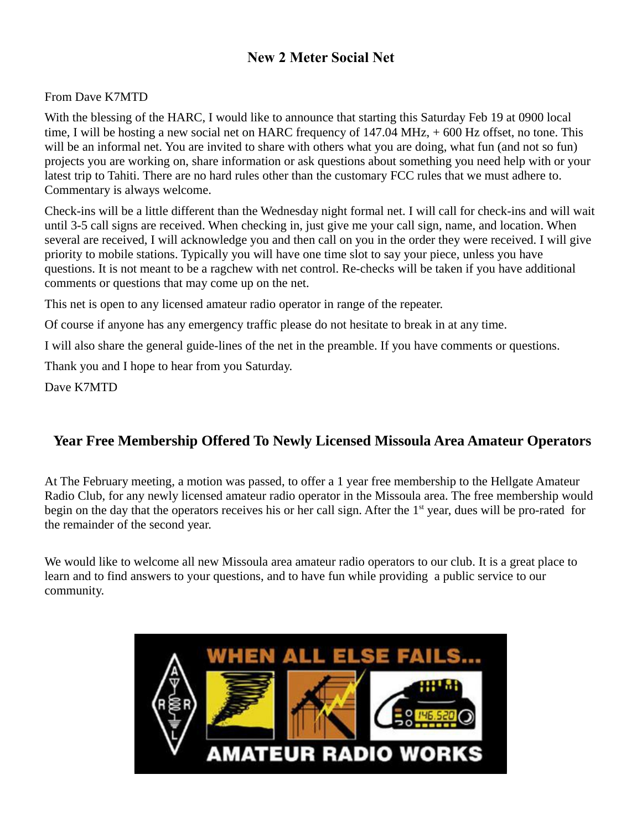#### **New 2 Meter Social Net**

#### From Dave K7MTD

With the blessing of the HARC, I would like to announce that starting this Saturday Feb 19 at 0900 local time, I will be hosting a new social net on HARC frequency of 147.04 MHz, + 600 Hz offset, no tone. This will be an informal net. You are invited to share with others what you are doing, what fun (and not so fun) projects you are working on, share information or ask questions about something you need help with or your latest trip to Tahiti. There are no hard rules other than the customary FCC rules that we must adhere to. Commentary is always welcome.

Check-ins will be a little different than the Wednesday night formal net. I will call for check-ins and will wait until 3-5 call signs are received. When checking in, just give me your call sign, name, and location. When several are received, I will acknowledge you and then call on you in the order they were received. I will give priority to mobile stations. Typically you will have one time slot to say your piece, unless you have questions. It is not meant to be a ragchew with net control. Re-checks will be taken if you have additional comments or questions that may come up on the net.

This net is open to any licensed amateur radio operator in range of the repeater.

Of course if anyone has any emergency traffic please do not hesitate to break in at any time.

I will also share the general guide-lines of the net in the preamble. If you have comments or questions.

Thank you and I hope to hear from you Saturday.

Dave K7MTD

#### **Year Free Membership Offered To Newly Licensed Missoula Area Amateur Operators**

At The February meeting, a motion was passed, to offer a 1 year free membership to the Hellgate Amateur Radio Club, for any newly licensed amateur radio operator in the Missoula area. The free membership would begin on the day that the operators receives his or her call sign. After the 1<sup>st</sup> year, dues will be pro-rated for the remainder of the second year.

We would like to welcome all new Missoula area amateur radio operators to our club. It is a great place to learn and to find answers to your questions, and to have fun while providing a public service to our community.

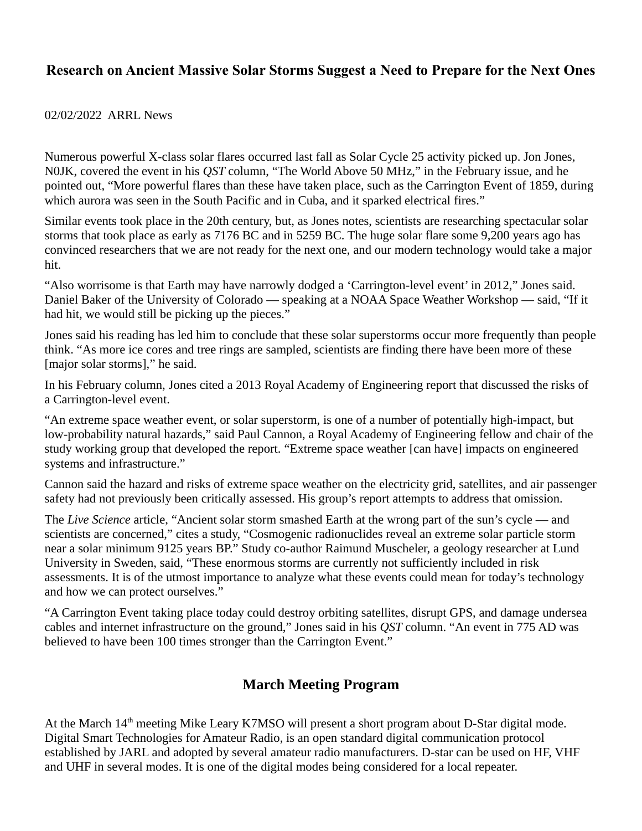#### **Research on Ancient Massive Solar Storms Suggest a Need to Prepare for the Next Ones**

#### 02/02/2022 ARRL News

Numerous powerful X-class solar flares occurred last fall as Solar Cycle 25 activity picked up. Jon Jones, N0JK, covered the event in his *QST* column, "The World Above 50 MHz," in the February issue, and he pointed out, "More powerful flares than these have taken place, such as the Carrington Event of 1859, during which aurora was seen in the South Pacific and in Cuba, and it sparked electrical fires."

Similar events took place in the 20th century, but, as Jones notes, scientists are researching spectacular solar storms that took place as early as 7176 BC and in 5259 BC. The huge solar flare some 9,200 years ago has convinced researchers that we are not ready for the next one, and our modern technology would take a major hit.

"Also worrisome is that Earth may have narrowly dodged a 'Carrington-level event' in 2012," Jones said. Daniel Baker of the University of Colorado — speaking at a NOAA Space Weather Workshop — said, "If it had hit, we would still be picking up the pieces."

Jones said his reading has led him to conclude that these solar superstorms occur more frequently than people think. "As more ice cores and tree rings are sampled, scientists are finding there have been more of these [major solar storms]," he said.

In his February column, Jones cited a 2013 Royal Academy of Engineering report that discussed the risks of a Carrington-level event.

"An extreme space weather event, or solar superstorm, is one of a number of potentially high-impact, but low-probability natural hazards," said Paul Cannon, a Royal Academy of Engineering fellow and chair of the study working group that developed the report. "Extreme space weather [can have] impacts on engineered systems and infrastructure."

Cannon said the hazard and risks of extreme space weather on the electricity grid, satellites, and air passenger safety had not previously been critically assessed. His group's report attempts to address that omission.

The *Live Science* article, "Ancient solar storm smashed Earth at the wrong part of the sun's cycle — and scientists are concerned," cites a study, "Cosmogenic radionuclides reveal an extreme solar particle storm near a solar minimum 9125 years BP." Study co-author Raimund Muscheler, a geology researcher at Lund University in Sweden, said, "These enormous storms are currently not sufficiently included in risk assessments. It is of the utmost importance to analyze what these events could mean for today's technology and how we can protect ourselves."

"A Carrington Event taking place today could destroy orbiting satellites, disrupt GPS, and damage undersea cables and internet infrastructure on the ground," Jones said in his *QST* column. "An event in 775 AD was believed to have been 100 times stronger than the Carrington Event."

#### **March Meeting Program**

At the March 14<sup>th</sup> meeting Mike Leary K7MSO will present a short program about D-Star digital mode. Digital Smart Technologies for Amateur Radio, is an open standard digital communication protocol established by JARL and adopted by several amateur radio manufacturers. D-star can be used on HF, VHF and UHF in several modes. It is one of the digital modes being considered for a local repeater.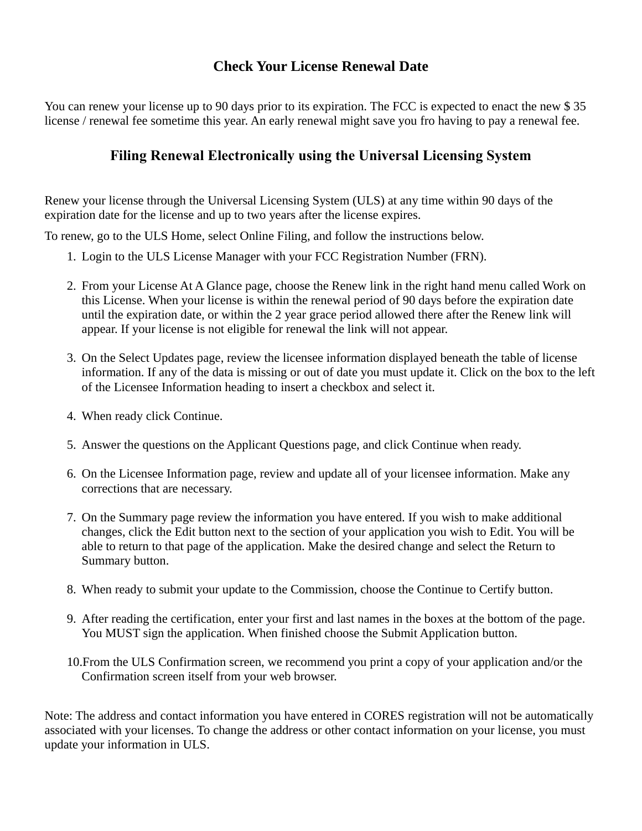#### **Check Your License Renewal Date**

You can renew your license up to 90 days prior to its expiration. The FCC is expected to enact the new \$ 35 license / renewal fee sometime this year. An early renewal might save you fro having to pay a renewal fee.

#### **Filing Renewal Electronically using the Universal Licensing System**

Renew your license through the Universal Licensing System (ULS) at any time within 90 days of the expiration date for the license and up to two years after the license expires.

To renew, go to the ULS Home, select Online Filing, and follow the instructions below.

- 1. Login to the ULS License Manager with your FCC Registration Number (FRN).
- 2. From your License At A Glance page, choose the Renew link in the right hand menu called Work on this License. When your license is within the renewal period of 90 days before the expiration date until the expiration date, or within the 2 year grace period allowed there after the Renew link will appear. If your license is not eligible for renewal the link will not appear.
- 3. On the Select Updates page, review the licensee information displayed beneath the table of license information. If any of the data is missing or out of date you must update it. Click on the box to the left of the Licensee Information heading to insert a checkbox and select it.
- 4. When ready click Continue.
- 5. Answer the questions on the Applicant Questions page, and click Continue when ready.
- 6. On the Licensee Information page, review and update all of your licensee information. Make any corrections that are necessary.
- 7. On the Summary page review the information you have entered. If you wish to make additional changes, click the Edit button next to the section of your application you wish to Edit. You will be able to return to that page of the application. Make the desired change and select the Return to Summary button.
- 8. When ready to submit your update to the Commission, choose the Continue to Certify button.
- 9. After reading the certification, enter your first and last names in the boxes at the bottom of the page. You MUST sign the application. When finished choose the Submit Application button.
- 10.From the ULS Confirmation screen, we recommend you print a copy of your application and/or the Confirmation screen itself from your web browser.

Note: The address and contact information you have entered in CORES registration will not be automatically associated with your licenses. To change the address or other contact information on your license, you must update your information in ULS.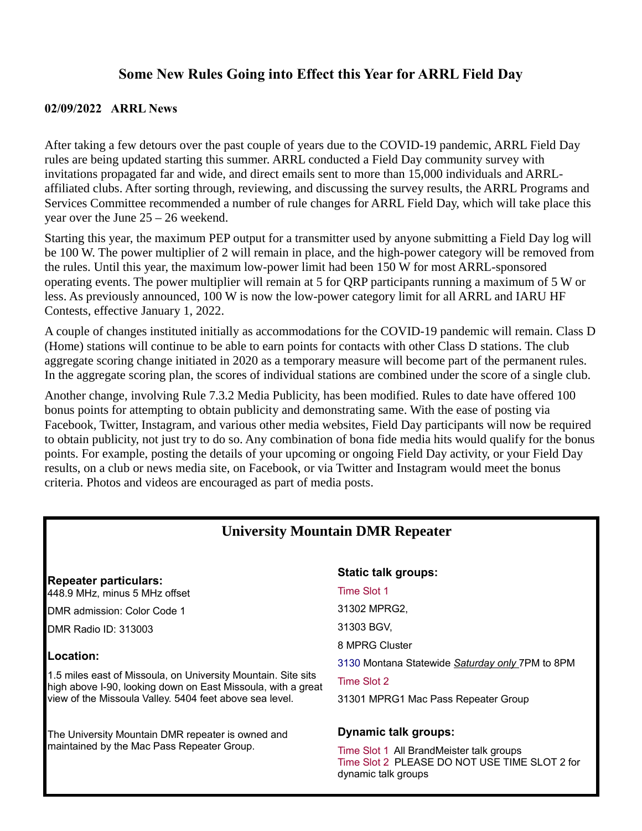#### **Some New Rules Going into Effect this Year for ARRL Field Day**

#### **02/09/2022 ARRL News**

After taking a few detours over the past couple of years due to the COVID-19 pandemic, ARRL Field Day rules are being updated starting this summer. ARRL conducted a Field Day community survey with invitations propagated far and wide, and direct emails sent to more than 15,000 individuals and ARRLaffiliated clubs. After sorting through, reviewing, and discussing the survey results, the ARRL Programs and Services Committee recommended a number of rule changes for ARRL Field Day, which will take place this year over the June 25 – 26 weekend.

Starting this year, the maximum PEP output for a transmitter used by anyone submitting a Field Day log will be 100 W. The power multiplier of 2 will remain in place, and the high-power category will be removed from the rules. Until this year, the maximum low-power limit had been 150 W for most ARRL-sponsored operating events. The power multiplier will remain at 5 for QRP participants running a maximum of 5 W or less. As previously announced, 100 W is now the low-power category limit for all ARRL and IARU HF Contests, effective January 1, 2022.

A couple of changes instituted initially as accommodations for the COVID-19 pandemic will remain. Class D (Home) stations will continue to be able to earn points for contacts with other Class D stations. The club aggregate scoring change initiated in 2020 as a temporary measure will become part of the permanent rules. In the aggregate scoring plan, the scores of individual stations are combined under the score of a single club.

Another change, involving Rule 7.3.2 Media Publicity, has been modified. Rules to date have offered 100 bonus points for attempting to obtain publicity and demonstrating same. With the ease of posting via Facebook, Twitter, Instagram, and various other media websites, Field Day participants will now be required to obtain publicity, not just try to do so. Any combination of bona fide media hits would qualify for the bonus points. For example, posting the details of your upcoming or ongoing Field Day activity, or your Field Day results, on a club or news media site, on Facebook, or via Twitter and Instagram would meet the bonus criteria. Photos and videos are encouraged as part of media posts.

#### **University Mountain DMR Repeater**

**Repeater particulars:** 448.9 MHz, minus 5 MHz offset

DMR admission: Color Code 1

DMR Radio ID: [313003](https://brandmeister.network/?page=repeater&id=313003)

#### **Location:**

1.5 miles east of Missoula, on University Mountain. Site sits high above I-90, looking down on East Missoula, with a great view of the Missoula Valley. 5404 feet above sea level.

The University Mountain DMR repeater is owned and maintained by the Mac Pass Repeater Group.

#### **Static talk groups:**

#### Time Slot 1

[31302 MPRG2,](https://wiki.brandmeister.network/index.php/TalkGroup/31302)

[31303 BGV,](https://wiki.brandmeister.network/index.php/TalkGroup/31303)

[8 MPRG Cluster](https://wiki.brandmeister.network/index.php/TalkGroup/8)

[3130 Montana Statewide](https://wiki.brandmeister.network/index.php/TalkGroup/3130) *Saturday only* 7PM to 8PM

Time Slot 2

[31301 MPRG1](https://wiki.brandmeister.network/index.php/TalkGroup/31301) Mac Pass Repeater Group

#### **Dynamic talk groups:**

Time Slot 1 All BrandMeister talk groups Time Slot 2 PLEASE DO NOT USE TIME SLOT 2 for dynamic talk groups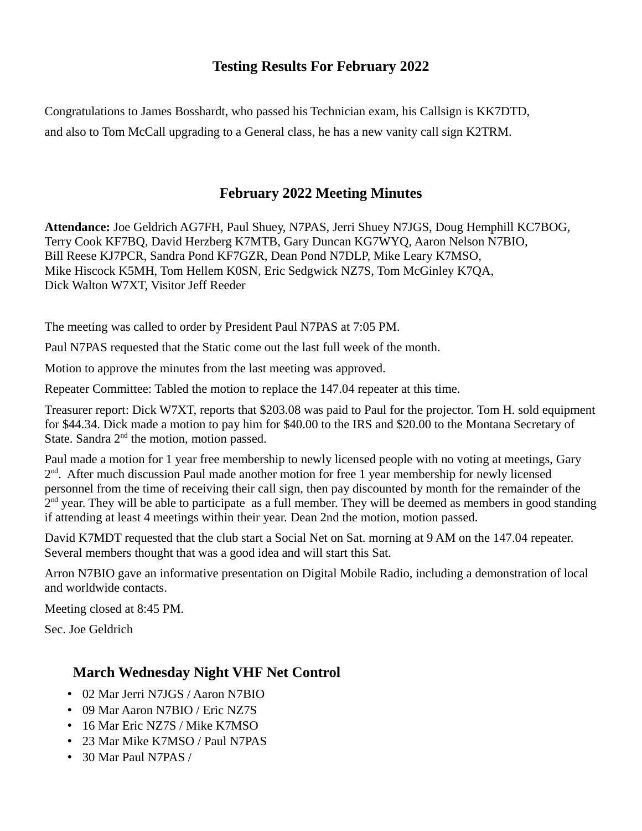#### **Testing Results For February 2022**

Congratulations to James Bosshardt, who passed his Technician exam, his Callsign is KK7DTD, and also to Tom McCall upgrading to a General class, he has a new vanity call sign K2TRM.

#### **February 2022 Meeting Minutes**

**Attendance:** Joe Geldrich AG7FH, Paul Shuey, N7PAS, Jerri Shuey N7JGS, Doug Hemphill KC7BOG, Terry Cook KF7BQ, David Herzberg K7MTB, Gary Duncan KG7WYQ, Aaron Nelson N7BIO, Bill Reese KJ7PCR, Sandra Pond KF7GZR, Dean Pond N7DLP, Mike Leary K7MSO, Mike Hiscock K5MH, Tom Hellem K0SN, Eric Sedgwick NZ7S, Tom McGinley K7QA, Dick Walton W7XT, Visitor Jeff Reeder

The meeting was called to order by President Paul N7PAS at 7:05 PM.

Paul N7PAS requested that the Static come out the last full week of the month.

Motion to approve the minutes from the last meeting was approved.

Repeater Committee: Tabled the motion to replace the 147.04 repeater at this time.

Treasurer report: Dick W7XT, reports that \$203.08 was paid to Paul for the projector. Tom H. sold equipment for \$44.34. Dick made a motion to pay him for \$40.00 to the IRS and \$20.00 to the Montana Secretary of State. Sandra  $2<sup>nd</sup>$  the motion, motion passed.

Paul made a motion for 1 year free membership to newly licensed people with no voting at meetings, Gary 2<sup>nd</sup>. After much discussion Paul made another motion for free 1 year membership for newly licensed personnel from the time of receiving their call sign, then pay discounted by month for the remainder of the 2<sup>nd</sup> year. They will be able to participate as a full member. They will be deemed as members in good standing if attending at least 4 meetings within their year. Dean 2nd the motion, motion passed.

David K7MDT requested that the club start a Social Net on Sat. morning at 9 AM on the 147.04 repeater. Several members thought that was a good idea and will start this Sat.

Arron N7BIO gave an informative presentation on Digital Mobile Radio, including a demonstration of local and worldwide contacts.

Meeting closed at 8:45 PM.

Sec. Joe Geldrich

#### **March Wednesday Night VHF Net Control**

- 02 Mar Jerri N7JGS / Aaron N7BIO
- 09 Mar Aaron N7BIO / Eric NZ7S
- 16 Mar Eric NZ7S / Mike K7MSO
- 23 Mar Mike K7MSO / Paul N7PAS
- 30 Mar Paul N7PAS /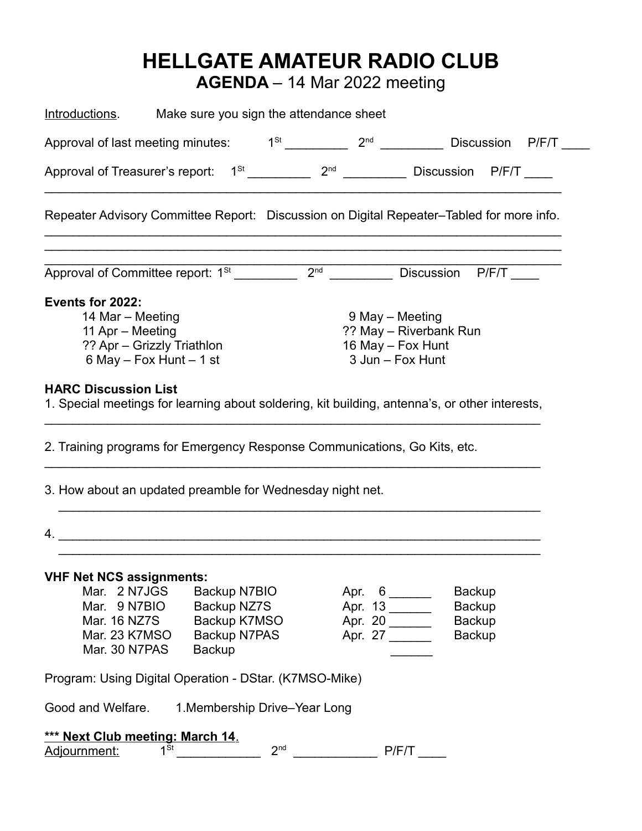## **HELLGATE AMATEUR RADIO CLUB**

**AGENDA** – 14 Mar 2022 meeting

| Introductions.                                                                                                                                                                                                                                                                                                                                                                                                                                                     | Make sure you sign the attendance sheet |         |                                                           |  |  |  |  |  |  |
|--------------------------------------------------------------------------------------------------------------------------------------------------------------------------------------------------------------------------------------------------------------------------------------------------------------------------------------------------------------------------------------------------------------------------------------------------------------------|-----------------------------------------|---------|-----------------------------------------------------------|--|--|--|--|--|--|
| Approval of last meeting minutes:                                                                                                                                                                                                                                                                                                                                                                                                                                  |                                         |         | $1^{St}$ 2 <sup>nd</sup> Discussion P/F/T                 |  |  |  |  |  |  |
|                                                                                                                                                                                                                                                                                                                                                                                                                                                                    |                                         |         |                                                           |  |  |  |  |  |  |
| Repeater Advisory Committee Report: Discussion on Digital Repeater–Tabled for more info.                                                                                                                                                                                                                                                                                                                                                                           |                                         |         |                                                           |  |  |  |  |  |  |
|                                                                                                                                                                                                                                                                                                                                                                                                                                                                    |                                         |         | Discussion P/F/T                                          |  |  |  |  |  |  |
| 14 Mar - Meeting<br>9 May - Meeting<br>?? May - Riverbank Run<br>11 Apr - Meeting<br>16 May - Fox Hunt<br>?? Apr - Grizzly Triathlon<br>3 Jun - Fox Hunt<br>6 May $-$ Fox Hunt $-$ 1 st<br><b>HARC Discussion List</b><br>1. Special meetings for learning about soldering, kit building, antenna's, or other interests,<br>2. Training programs for Emergency Response Communications, Go Kits, etc.<br>3. How about an updated preamble for Wednesday night net. |                                         |         |                                                           |  |  |  |  |  |  |
|                                                                                                                                                                                                                                                                                                                                                                                                                                                                    |                                         |         |                                                           |  |  |  |  |  |  |
| <b>VHF Net NCS assignments:</b><br>Mar. 2 N7JGS<br>Backup N7BIO<br>Mar. 9 N7BIO<br>Backup NZ7S<br>Mar. 16 NZ7S<br>Mar. 23 K7MSO<br><b>Backup N7PAS</b><br>Mar. 30 N7PAS<br><b>Backup</b>                                                                                                                                                                                                                                                                           | Backup K7MSO                            | Apr. 20 | <b>Backup</b><br><b>Backup</b><br>Backup<br><b>Backup</b> |  |  |  |  |  |  |
| Program: Using Digital Operation - DStar. (K7MSO-Mike)                                                                                                                                                                                                                                                                                                                                                                                                             |                                         |         |                                                           |  |  |  |  |  |  |
| Good and Welfare.<br>1. Membership Drive-Year Long                                                                                                                                                                                                                                                                                                                                                                                                                 |                                         |         |                                                           |  |  |  |  |  |  |
| *** Next Club meeting: March 14.<br>$1^{St}$<br>2 <sup>nd</sup><br>P/F/T<br>Adjournment:                                                                                                                                                                                                                                                                                                                                                                           |                                         |         |                                                           |  |  |  |  |  |  |